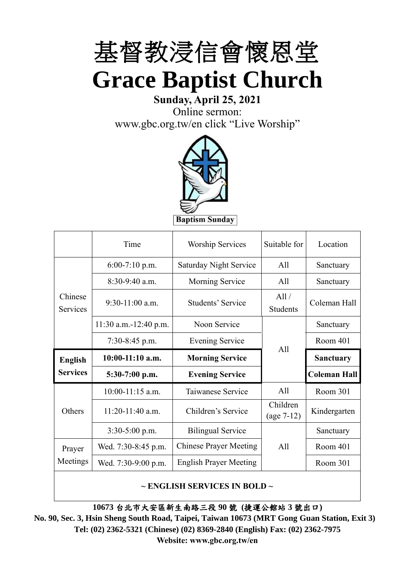

# **Sunday, April 25, 2021** Online sermon:

[www.gbc.org.tw/en](http://www.gbc.org.tw/en) click "Live Worship"



**Baptism Sunday** 

|                            | Time                    | <b>Worship Services</b>                              | Suitable for             | Location            |
|----------------------------|-------------------------|------------------------------------------------------|--------------------------|---------------------|
|                            | $6:00-7:10$ p.m.        | <b>Saturday Night Service</b>                        | A11                      | Sanctuary           |
|                            | $8:30-9:40$ a.m.        | Morning Service                                      | All                      | Sanctuary           |
| Chinese<br><b>Services</b> | $9:30-11:00$ a.m.       | All /<br><b>Students' Service</b><br><b>Students</b> |                          | Coleman Hall        |
|                            | $11:30$ a.m.-12:40 p.m. | Noon Service                                         |                          | Sanctuary           |
|                            | $7:30-8:45$ p.m.        | <b>Evening Service</b>                               | All                      | Room 401            |
|                            |                         |                                                      |                          |                     |
| <b>English</b>             | $10:00-11:10$ a.m.      | <b>Morning Service</b>                               |                          | <b>Sanctuary</b>    |
| <b>Services</b>            | $5:30-7:00$ p.m.        | <b>Evening Service</b>                               |                          | <b>Coleman Hall</b> |
|                            | $10:00-11:15$ a.m.      | Taiwanese Service                                    | All                      | Room 301            |
| Others                     | $11:20-11:40$ a.m.      | Children's Service                                   | Children<br>$(age 7-12)$ | Kindergarten        |
|                            | $3:30-5:00$ p.m.        | <b>Bilingual Service</b>                             |                          | Sanctuary           |
| Prayer                     | Wed. 7:30-8:45 p.m.     | <b>Chinese Prayer Meeting</b>                        | A11                      | Room 401            |
| Meetings                   | Wed. 7:30-9:00 p.m.     | <b>English Prayer Meeting</b>                        |                          | Room 301            |

#### **~ ENGLISH SERVICES IN BOLD ~**

**10673** 台北市大安區新生南路三段 **90** 號 **(**捷運公館站 **3** 號出口**)**

**No. 90, Sec. 3, Hsin Sheng South Road, Taipei, Taiwan 10673 (MRT Gong Guan Station, Exit 3) Tel: (02) 2362-5321 (Chinese) (02) 8369-2840 (English) Fax: (02) 2362-7975 Website: www.gbc.org.tw/en**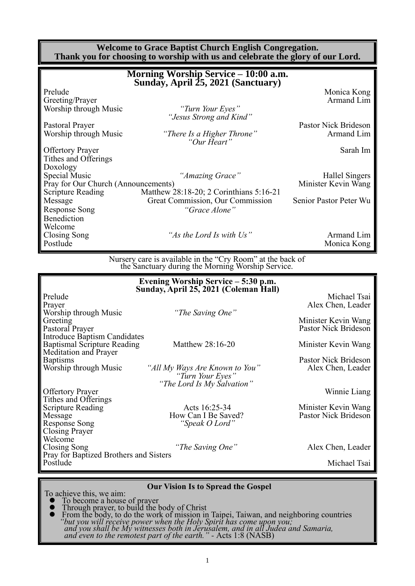| <b>Welcome to Grace Baptist Church English Congregation.</b><br>Thank you for choosing to worship with us and celebrate the glory of our Lord. |                                                                                                                 |                                                                       |  |  |  |
|------------------------------------------------------------------------------------------------------------------------------------------------|-----------------------------------------------------------------------------------------------------------------|-----------------------------------------------------------------------|--|--|--|
| Morning Worship Service - 10:00 a.m.<br>Sunday, April 25, 2021 (Sanctuary)                                                                     |                                                                                                                 |                                                                       |  |  |  |
| Prelude<br>Greeting/Prayer<br>Worship through Music                                                                                            | "Turn Your Eyes"<br>"Jesus Strong and Kind"                                                                     | Monica Kong<br>Armand Lim                                             |  |  |  |
| Pastoral Prayer<br>Worship through Music                                                                                                       | "There Is a Higher Throne"<br>"Our Heart"                                                                       | Pastor Nick Brideson<br>Armand Lim                                    |  |  |  |
| <b>Offertory Prayer</b><br>Tithes and Offerings<br>Doxology                                                                                    |                                                                                                                 | Sarah Im                                                              |  |  |  |
| <b>Special Music</b><br>Pray for Our Church (Announcements)<br><b>Scripture Reading</b>                                                        | "Amazing Grace"<br>Matthew 28:18-20; 2 Corinthians 5:16-21                                                      | Hallel Singers<br>Minister Kevin Wang                                 |  |  |  |
| Message<br><b>Response Song</b><br>Benediction<br>Welcome                                                                                      | Great Commission, Our Commission<br>"Grace Alone"                                                               | Senior Pastor Peter Wu                                                |  |  |  |
| Closing Song<br>Postlude                                                                                                                       | "As the Lord Is with Us"                                                                                        | Armand Lim<br>Monica Kong                                             |  |  |  |
|                                                                                                                                                | Nursery care is available in the "Cry Room" at the back of<br>the Sanctuary during the Morning Worship Service. |                                                                       |  |  |  |
|                                                                                                                                                | Evening Worship Service - 5:30 p.m.<br>Sunday, April 25, 2021 (Coleman Hall)                                    |                                                                       |  |  |  |
| Prelude<br>Prayer<br>Worship through Music                                                                                                     | "The Saving One"                                                                                                | Michael Tsai<br>Alex Chen, Leader                                     |  |  |  |
| Greeting<br>Pastoral Prayer                                                                                                                    |                                                                                                                 | Minister Kevin Wang<br>Pastor Nick Brideson                           |  |  |  |
| <b>Introduce Baptism Candidates</b>                                                                                                            |                                                                                                                 | $\mathbf{r}$ , and $\mathbf{r}$ , and $\mathbf{r}$ , and $\mathbf{r}$ |  |  |  |

Baptismal Scripture Reading Matthew 28:16-20 Minister Kevin Wang

Baptisms<br>
Worship through Music *Chill My Ways Are Known to You Pastor Nick Brideson*<br>
Alex Chen, Leader "All My Ways Are Known to You" *"Turn Your Eyes" "The Lord Is My Salvation"* Offertory Prayer Winnie Liang

Scripture Reading<br>
Minister Kevin Wang<br>
Minister Kevin Wang<br>
Minister Kevin Wang<br>
Pastor Nick Brideson Message How Can I Be Saved?<br>
Response Song "Speak O Lord" "Speak O Lord"

"The Saving One" Alex Chen, Leader

Michael Tsai

#### **Our Vision Is to Spread the Gospel**

To achieve this, we aim:

Pray for Baptized Brothers and Sisters

Meditation and Prayer

Tithes and Offerings

Closing Prayer Welcome<br>Closing Song

- ⚫ To become a house of prayer ⚫ Through prayer, to build the body of Christ
- ⚫ From the body, to do the work of mission in Taipei, Taiwan, and neighboring countries *"but you will receive power when the Holy Spirit has come upon you; and you shall be My witnesses both in Jerusalem, and in all Judea and Samaria, and even to the remotest part of the earth." -* Acts 1:8 (NASB)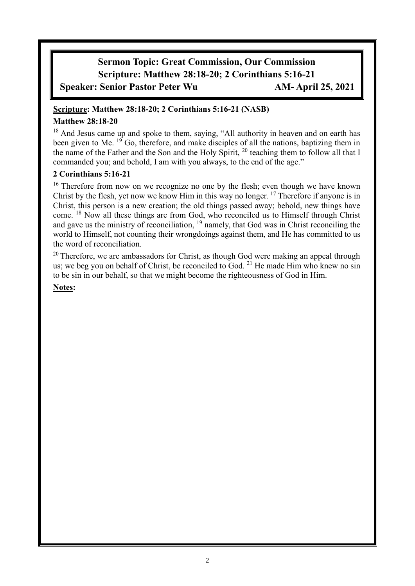# **Sermon Topic: Great Commission, Our Commission Scripture: Matthew 28:18-20; 2 Corinthians 5:16-21 Speaker: Senior Pastor Peter Wu AM- April 25, 2021**

#### **Scripture: Matthew 28:18-20; 2 Corinthians 5:16-21 (NASB)**

#### **Matthew 28:18-20**

<sup>18</sup> And Jesus came up and spoke to them, saying, "All authority in heaven and on earth has been given to Me. <sup>19</sup> Go, therefore, and make disciples of all the nations, baptizing them in the name of the Father and the Son and the Holy Spirit, <sup>20</sup> teaching them to follow all that I commanded you; and behold, I am with you always, to the end of the age."

#### **2 Corinthians 5:16-21**

<sup>16</sup> Therefore from now on we recognize no one by the flesh; even though we have known Christ by the flesh, yet now we know Him in this way no longer. <sup>17</sup> Therefore if anyone is in Christ, this person is a new creation; the old things passed away; behold, new things have come. <sup>18</sup> Now all these things are from God, who reconciled us to Himself through Christ and gave us the ministry of reconciliation,  $19$  namely, that God was in Christ reconciling the world to Himself, not counting their wrongdoings against them, and He has committed to us the word of reconciliation.

<sup>20</sup> Therefore, we are ambassadors for Christ, as though God were making an appeal through us; we beg you on behalf of Christ, be reconciled to God.  $^{21}$  He made Him who knew no sin to be sin in our behalf, so that we might become the righteousness of God in Him.

#### **Notes:**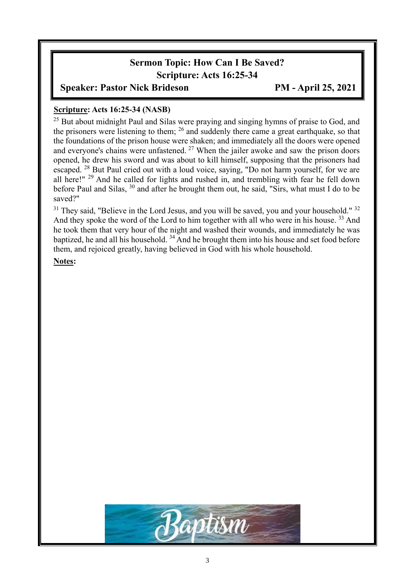# **Sermon Topic: How Can I Be Saved? Scripture: Acts 16:25-34**

## **Speaker: Pastor Nick Brideson PM - April 25, 2021**

#### **Scripture: Acts 16:25-34 (NASB)**

<sup>25</sup> But about midnight Paul and Silas were praying and singing hymns of praise to God, and the prisoners were listening to them;  $^{26}$  and suddenly there came a great earthquake, so that the foundations of the prison house were shaken; and immediately all the doors were opened and everyone's chains were unfastened. <sup>27</sup> When the jailer awoke and saw the prison doors opened, he drew his sword and was about to kill himself, supposing that the prisoners had escaped. <sup>28</sup> But Paul cried out with a loud voice, saying, "Do not harm yourself, for we are all here!" <sup>29</sup> And he called for lights and rushed in, and trembling with fear he fell down before Paul and Silas, <sup>30</sup> and after he brought them out, he said, "Sirs, what must I do to be saved?"

 $31$  They said, "Believe in the Lord Jesus, and you will be saved, you and your household."  $32$ And they spoke the word of the Lord to him together with all who were in his house.<sup>33</sup> And he took them that very hour of the night and washed their wounds, and immediately he was baptized, he and all his household. <sup>34</sup> And he brought them into his house and set food before them, and rejoiced greatly, having believed in God with his whole household.

**Notes:**

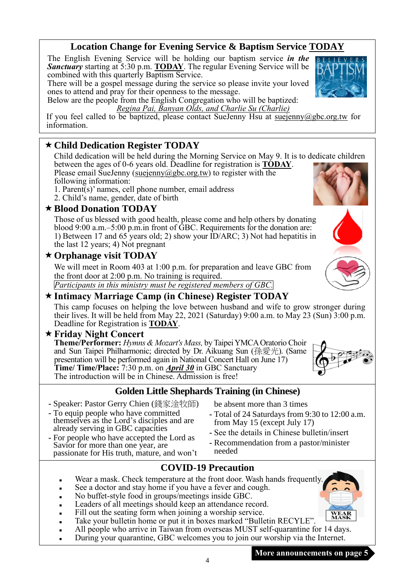## **Location Change for Evening Service & Baptism Service TODAY**

The English Evening Service will be holding our baptism service *in the Sanctuary* starting at 5:30 p.m. **TODAY**. The regular Evening Service will be combined with this quarterly Baptism Service.

There will be a gospel message during the service so please invite your loved ones to attend and pray for their openness to the message.

Below are the people from the English Congregation who will be baptized: *Regina Pai, Banyan Olds, and Charlie Su (Charlie)*

If you feel called to be baptized, please contact SueJenny Hsu at [suejenny@gbc.org.tw](mailto:suejenny@gbc.org.tw) for information.

## **Child Dedication Register TODAY**

Child dedication will be held during the Morning Service on May 9. It is to dedicate children between the ages of 0-6 years old. Deadline for registration is **TODAY**.

- Please email SueJenny [\(suejenny@gbc.org.tw\)](mailto:suejenny@gbc.org.tw) to register with the following information: 1. Parent(s)' names, cell phone number, email address
- 2. Child's name, gender, date of birth
- 

## **Blood Donation TODAY**

Those of us blessed with good health, please come and help others by donating blood 9:00 a.m.–5:00 p.m.in front of GBC. Requirements for the donation are: 1) Between 17 and 65 years old; 2) show your ID/ARC; 3) Not had hepatitis in the last 12 years; 4) Not pregnant

## **Orphanage visit TODAY**

We will meet in Room 403 at 1:00 p.m. for preparation and leave GBC from the front door at 2:00 p.m. No training is required. *Participants in this ministry must be registered members of GBC.*

# **Intimacy Marriage Camp (in Chinese) Register TODAY**

This camp focuses on helping the love between husband and wife to grow stronger during their lives. It will be held from May 22, 2021 (Saturday) 9:00 a.m. to May 23 (Sun) 3:00 p.m. Deadline for Registration is **TODAY**.

#### **Friday Night Concert**

**Theme/Performer:** *Hymns & Mozart's Mass,* by Taipei YMCA Oratorio Choir and Sun Taipei Philharmonic; directed by Dr. Aikuang Sun (孫愛光). (Same presentation will be performed again in National Concert Hall on June 17) **Time/ Time/Place:** 7:30 p.m. on *April 30* in GBC Sanctuary The introduction will be in Chinese. Admission is free!

# **Golden Little Shephards Training (in Chinese)**

- **-** Speaker: Pastor Gerry Chien (錢家淦牧師)
- **-** To equip people who have committed themselves as the Lord's disciples and are already serving in GBC capacities
- **-** For people who have accepted the Lord as Savior for more than one year, are passionate for His truth, mature, and won't

be absent more than 3 times

- **-** Total of 24 Saturdays from 9:30 to 12:00 a.m. from May 15 (except July 17)
- **-** See the details in Chinese bulletin/insert
- **-** Recommendation from a pastor/minister needed

# **COVID-19 Precaution**

- Wear a mask. Check temperature at the front door. Wash hands frequently.
- See a doctor and stay home if you have a fever and cough.
- No buffet-style food in groups/meetings inside GBC.
- Leaders of all meetings should keep an attendance record.
- Fill out the seating form when joining a worship service.
- Take your bulletin home or put it in boxes marked "Bulletin RECYLE".
- All people who arrive in Taiwan from overseas MUST self-quarantine for 14 days.

4

<sup>◼</sup> During your quarantine, GBC welcomes you to join our worship via the Internet.







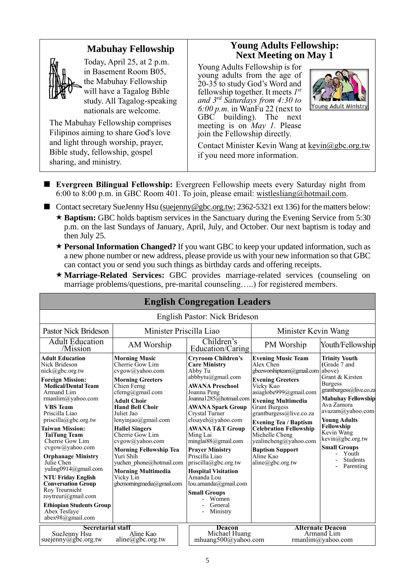# **Mabuhay Fellowship**



Today, April 25, at 2 p.m. in Basement Room B05, the Mabuhay Fellowship will have a Tagalog Bible study. All Tagalog-speaking nationals are welcome.

The Mabuhay Fellowship comprises Filipinos aiming to share God's love and light through worship, prayer, Bible study, fellowship, gospel sharing, and ministry.

## **Young Adults Fellowship: Next Meeting on May 1**

Young Adults Fellowship is for young adults from the age of 20-35 to study God's Word and fellowship together. It meets *1 st and 3rd Saturdays from 4:30 to 6:00 p.m.* in WanFu 22 (next to GBC building). The next meeting is on *May 1.* Please join the Fellowship directly.



Contact Minister Kevin Wang at kevin@gbc.org.tw if you need more information.

- **Evergreen Bilingual Fellowship:** Evergreen Fellowship meets every Saturday night from 6:00 to 8:00 p.m. in GBC Room 401. To join, please email: [wistlesliang@hotmail.com.](mailto:wistlesliang@hotmail.com)
- Contact secretary SueJenny Hsu [\(suejenny@gbc.org.tw;](mailto:suejenny@gbc.org.tw) 2362-5321 ext 136) for the matters below: ★ Baptism: GBC holds baptism services in the Sanctuary during the Evening Service from 5:30 p.m. on the last Sundays of January, April, July, and October. Our next baptism is today and then July 25.
	- **Personal Information Changed?** If you want GBC to keep your updated information, such as a new phone number or new address, please provide us with your new information so that GBC can contact you or send you such things as birthday cards and offering receipts.
	- **Marriage-Related Services:** GBC provides marriage-related services (counseling on marriage problems/questions, pre-marital counseling…..) for registered members.

| <b>English Congregation Leaders</b>                                                                                                                                                                                                                                                                                                                                                                                                                                                                                                                    |                                                                                                                                                                                                                                                                                                                                                                                                                               |                                                                                                                                                                                                                                                                                                                                                                                                                                                                                                          |                                                                                                                                                                                                                                                                                                                                                                                              |                                                                                                                                                                                                                                                                                                                      |
|--------------------------------------------------------------------------------------------------------------------------------------------------------------------------------------------------------------------------------------------------------------------------------------------------------------------------------------------------------------------------------------------------------------------------------------------------------------------------------------------------------------------------------------------------------|-------------------------------------------------------------------------------------------------------------------------------------------------------------------------------------------------------------------------------------------------------------------------------------------------------------------------------------------------------------------------------------------------------------------------------|----------------------------------------------------------------------------------------------------------------------------------------------------------------------------------------------------------------------------------------------------------------------------------------------------------------------------------------------------------------------------------------------------------------------------------------------------------------------------------------------------------|----------------------------------------------------------------------------------------------------------------------------------------------------------------------------------------------------------------------------------------------------------------------------------------------------------------------------------------------------------------------------------------------|----------------------------------------------------------------------------------------------------------------------------------------------------------------------------------------------------------------------------------------------------------------------------------------------------------------------|
|                                                                                                                                                                                                                                                                                                                                                                                                                                                                                                                                                        |                                                                                                                                                                                                                                                                                                                                                                                                                               | English Pastor: Nick Brideson                                                                                                                                                                                                                                                                                                                                                                                                                                                                            |                                                                                                                                                                                                                                                                                                                                                                                              |                                                                                                                                                                                                                                                                                                                      |
| <b>Pastor Nick Brideson</b>                                                                                                                                                                                                                                                                                                                                                                                                                                                                                                                            | Minister Priscilla Liao                                                                                                                                                                                                                                                                                                                                                                                                       |                                                                                                                                                                                                                                                                                                                                                                                                                                                                                                          | Minister Kevin Wang                                                                                                                                                                                                                                                                                                                                                                          |                                                                                                                                                                                                                                                                                                                      |
| <b>Adult Education</b><br>/Mission                                                                                                                                                                                                                                                                                                                                                                                                                                                                                                                     | AM Worship                                                                                                                                                                                                                                                                                                                                                                                                                    | Children's<br>Education/Caring                                                                                                                                                                                                                                                                                                                                                                                                                                                                           | PM Worship                                                                                                                                                                                                                                                                                                                                                                                   | Youth/Fellowship                                                                                                                                                                                                                                                                                                     |
| <b>Adult Education</b><br>Nick Brideson<br>nick@gbc.org.tw<br><b>Foreign Mission:</b><br><b>Medical/Dental Team</b><br>Armand Lim<br>rmanlim@yahoo.com<br><b>VBS</b> Team<br>Priscilla Liao<br>priscilla@gbc.org.tw<br><b>Taiwan Mission:</b><br><b>TaiTung Team</b><br>Cherrie Gow Lim<br>cvgow@yahoo.com<br><b>Orphanage Ministry</b><br>Julie Chen<br>yuling0914@gmail.com<br><b>NTU Friday English</b><br><b>Conversation Group</b><br>Roy Treurnicht<br>roytreur@gmail.com<br><b>Ethiopian Students Group</b><br>Abex Tesfave<br>abex98@gmail.com | <b>Morning Music</b><br>Cherrie Gow Lim<br>cvgow@yahoo.com<br><b>Morning Greeters</b><br>Chien Ferng<br>cferng@gmail.com<br><b>Adult Choir</b><br><b>Hand Bell Choir</b><br>Juliet Jao<br>lenyinjao@gmail.com<br><b>Hallel Singers</b><br>Cherrie Gow Lim<br>cvgow@yahoo.com<br><b>Morning Fellowship Tea</b><br>Yuri Shih<br>yuchen phone@hotmail.com<br><b>Morning Multimedia</b><br>Vicky Lin<br>gbcmorningmedia@gmail.com | <b>Cryroom Children's</b><br><b>Care Ministry</b><br>Abby Tu<br>abbbytu@gmail.com<br><b>AWANA Preschool</b><br>Joanna Peng<br>Joanna1285@hotmail.com<br><b>AWANA Spark Group</b><br>Crystal Turner<br>elisayeh@yahoo.com<br><b>AWANA T&amp;T Group</b><br>Ming Lai<br>minglai $88$ @gmail.com<br><b>Prayer Ministry</b><br>Priscilla Liao<br>$priscilla(\partial gbc.org.tw)$<br><b>Hospital Visitation</b><br>Amanda Lou<br>lou.amanda@gmail.com<br><b>Small Groups</b><br>Women<br>General<br>Ministry | <b>Evening Music Team</b><br>Alex Chen<br>gbceworshipteam@gmail.com<br><b>Evening Greeters</b><br>Vicky Kuo<br>asiaglobe999@gmail.com<br><b>Evening Multimedia</b><br><b>Grant Burgess</b><br>grantburgess@live.co.za<br><b>Evening Tea / Baptism</b><br><b>Celebration Fellowship</b><br>Michelle Cheng<br>yealincheng@yahoo.com<br><b>Baptism Support</b><br>Aline Kao<br>aline@gbc.org.tw | <b>Trinity Youth</b><br>(Grade 7 and<br>above)<br>Grant & Kirsten<br><b>Burgess</b><br>grantburgess@live.co.za<br><b>Mabuhay Fellowship</b><br>Ava Zamora<br>avazam@yahoo.com<br><b>Young Adults</b><br>Fellowship<br>Kevin Wang<br>kevin@gbc.org.tw<br><b>Small Groups</b><br>Youth<br><b>Students</b><br>Parenting |
| <b>Secretarial staff</b><br>SueJenny Hsu<br>suejenny@gbc.org.tw                                                                                                                                                                                                                                                                                                                                                                                                                                                                                        | Aline Kao<br>$aline(\omega gbc.org.tw)$                                                                                                                                                                                                                                                                                                                                                                                       | <b>Deacon</b><br>Michael Huang<br>mhuang500@yahoo.com                                                                                                                                                                                                                                                                                                                                                                                                                                                    |                                                                                                                                                                                                                                                                                                                                                                                              | <b>Alternate Deacon</b><br>Armand Lim<br>rmanlim@yahoo.com                                                                                                                                                                                                                                                           |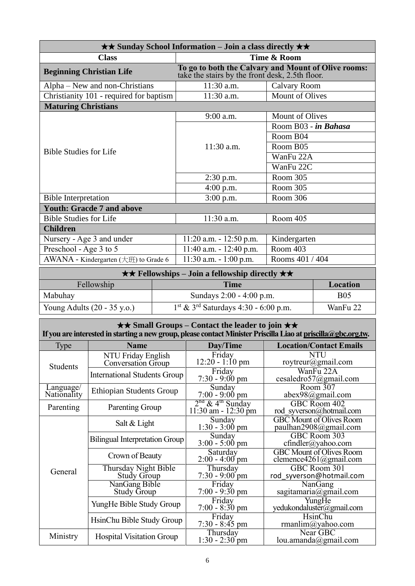| $\star\star$ Sunday School Information – Join a class directly $\star\star$ |                          |                                                                                                        |                        |            |  |  |
|-----------------------------------------------------------------------------|--------------------------|--------------------------------------------------------------------------------------------------------|------------------------|------------|--|--|
| <b>Class</b>                                                                |                          |                                                                                                        | Time & Room            |            |  |  |
| <b>Beginning Christian Life</b>                                             |                          | To go to both the Calvary and Mount of Olive rooms:<br>take the stairs by the front desk, 2.5th floor. |                        |            |  |  |
| Alpha – New and non-Christians                                              |                          | 11:30 a.m.                                                                                             | <b>Calvary Room</b>    |            |  |  |
| Christianity 101 - required for baptism                                     |                          | $11:30$ a.m.                                                                                           | <b>Mount of Olives</b> |            |  |  |
| <b>Maturing Christians</b>                                                  |                          |                                                                                                        |                        |            |  |  |
|                                                                             |                          | 9:00 a.m.                                                                                              | <b>Mount of Olives</b> |            |  |  |
|                                                                             |                          |                                                                                                        | Room B03 - in Bahasa   |            |  |  |
|                                                                             |                          |                                                                                                        | Room B04               |            |  |  |
| <b>Bible Studies for Life</b>                                               |                          | $11:30$ a.m.                                                                                           | Room B05               |            |  |  |
|                                                                             |                          |                                                                                                        | WanFu 22A              |            |  |  |
|                                                                             |                          |                                                                                                        | WanFu 22C              |            |  |  |
|                                                                             |                          | $2:30$ p.m.                                                                                            | Room 305               |            |  |  |
|                                                                             |                          | $4:00$ p.m.                                                                                            | Room 305               |            |  |  |
| <b>Bible Interpretation</b>                                                 |                          | $3:00$ p.m.                                                                                            | Room 306               |            |  |  |
| <b>Youth: Gracde 7 and above</b>                                            |                          |                                                                                                        |                        |            |  |  |
| <b>Bible Studies for Life</b>                                               |                          | 11:30 a.m.                                                                                             | Room 405               |            |  |  |
| <b>Children</b>                                                             |                          |                                                                                                        |                        |            |  |  |
| Nursery - Age 3 and under                                                   |                          | $11:20$ a.m. $-12:50$ p.m.                                                                             | Kindergarten           |            |  |  |
| Preschool - Age 3 to 5                                                      |                          | 11:40 a.m. - 12:40 p.m.                                                                                | Room 403               |            |  |  |
| AWANA - Kindergarten (大班) to Grade 6                                        |                          | $11:30$ a.m. $-1:00$ p.m.                                                                              | Rooms 401 / 404        |            |  |  |
| $\star \star$ Fellowships – Join a fellowship directly $\star \star$        |                          |                                                                                                        |                        |            |  |  |
| Fellowship                                                                  |                          | <b>Time</b>                                                                                            |                        | Location   |  |  |
| Mabuhay                                                                     | Sundays 2:00 - 4:00 p.m. |                                                                                                        |                        | <b>B05</b> |  |  |
| Young Adults (20 - 35 y.o.)                                                 |                          | 1st & 3rd Saturdays 4:30 - 6:00 p.m.                                                                   |                        | WanFu 22   |  |  |

| $\star \star$ Small Groups – Contact the leader to join $\star \star$<br>If you are interested in starting a new group, please contact Minister Priscilla Liao at priscilla@gbc.org.tw. |                                                 |                                                        |                                                           |
|-----------------------------------------------------------------------------------------------------------------------------------------------------------------------------------------|-------------------------------------------------|--------------------------------------------------------|-----------------------------------------------------------|
| <b>Type</b>                                                                                                                                                                             | <b>Name</b>                                     | Day/Time                                               | <b>Location/Contact Emails</b>                            |
| <b>Students</b>                                                                                                                                                                         | NTU Friday English<br><b>Conversation Group</b> | Friday<br>$12:20 - 1:10$ pm                            | NTU<br>roytreur@gmail.com                                 |
|                                                                                                                                                                                         | <b>International Students Group</b>             | Friday<br>$7:30 - 9:00 \text{ pm}$                     | WanFu 22A<br>cesaledro57@gmail.com                        |
| Language/<br>Nationality                                                                                                                                                                | <b>Ethiopian Students Group</b>                 | Sunday<br>$7:00 - 9:00 \text{ pm}$                     | Room $307$<br>$abex98$ @gmail.com                         |
| Parenting                                                                                                                                                                               | Parenting Group                                 | $\frac{2^{nd} \& 4^{th}$ Sunday<br>11:30 am - 12:30 pm | GBC Room 402<br>rod syverson@hotmail.com                  |
|                                                                                                                                                                                         | Salt & Light                                    | Sunday<br>$1:30 - 3:00$ pm                             | <b>GBC Mount of Olives Room</b><br>paulhan2908@gmail.com  |
|                                                                                                                                                                                         | Bilingual Interpretation Group                  | Sunday<br>$3:00 - 5:00$ pm                             | GBC Room 303<br>cfindler@yahoo.com                        |
|                                                                                                                                                                                         | Crown of Beauty                                 | Saturday<br>$2:00 - 4:00$ pm                           | <b>GBC</b> Mount of Olives Room<br>clemence4261@gmail.com |
| General                                                                                                                                                                                 | Thursday Night Bible<br><b>Study Group</b>      | Thursday<br>$7:30 - 9:00$ pm                           | GBC Room 301<br>rod syverson@hotmail.com                  |
|                                                                                                                                                                                         | NanGang Bible<br><b>Study Group</b>             | Friday<br>$7:00 - 9:30$ pm                             | NanGang<br>sagitamaria@gmail.com                          |
|                                                                                                                                                                                         | YungHe Bible Study Group                        | Friday<br>$7:00 - 8:30$ pm                             | YungHe<br>yedukondaluster@gmail.com                       |
|                                                                                                                                                                                         | HsinChu Bible Study Group                       | Friday<br>$7:30 - 8:45$ pm                             | HsinChu<br>rmanlim@yahoo.com                              |
| Ministry                                                                                                                                                                                | <b>Hospital Visitation Group</b>                | Thursday<br>$1:30 - 2:30$ pm                           | Near GBC<br>lou. amanda@gmail.com                         |